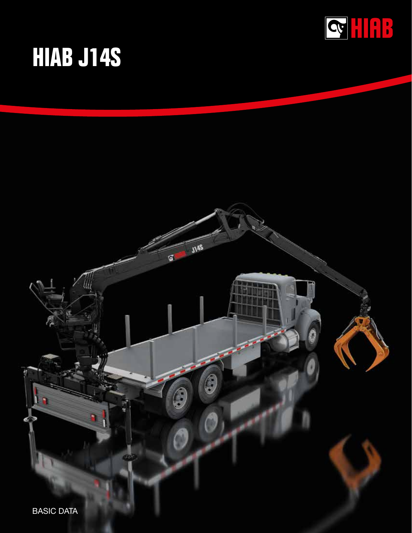

# **HIAB J14S**

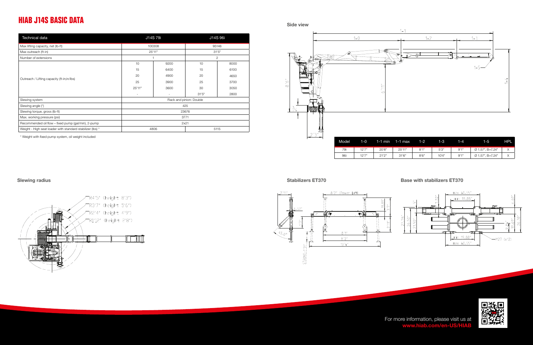### **HIAB J14S BASIC DATA**

| <b>Technical data</b>                                      | J14S 79i                |                          | J14S 96i       |      |  |  |  |
|------------------------------------------------------------|-------------------------|--------------------------|----------------|------|--|--|--|
| Max lifting capacity, net (lb-ft)                          | 100308                  |                          | 95146          |      |  |  |  |
| Max outreach (ft-in)                                       | 25'11"                  |                          | 31'5''         |      |  |  |  |
| Number of extensions                                       |                         |                          | $\overline{2}$ |      |  |  |  |
|                                                            | 10                      | 9200                     | 10             | 8000 |  |  |  |
|                                                            | 15                      | 6400                     | 15             | 6100 |  |  |  |
| Outreach / Lifting capacity (ft-in;in/lbs)                 | 20                      | 4900                     | 20             | 4650 |  |  |  |
|                                                            | 25                      | 3900                     | 25             | 3700 |  |  |  |
|                                                            | 25'11"                  | 3600                     | 30             | 3050 |  |  |  |
|                                                            | $\sim$                  | $\overline{\phantom{a}}$ | 31'5''         | 2800 |  |  |  |
| Slewing system                                             | Rack and pinion: Double |                          |                |      |  |  |  |
| Slewing angle (°)                                          | 425                     |                          |                |      |  |  |  |
| Slewing torque, gross (lb-ft)                              | 23676                   |                          |                |      |  |  |  |
| Max. working pressure (psi)                                | 3771                    |                          |                |      |  |  |  |
| Recommended oil flow - fixed pump (gal/min), 2-pump        | 2x21                    |                          |                |      |  |  |  |
| Weight - High seat loader with standard stabilizer (lbs) * | 4806<br>5115            |                          |                |      |  |  |  |

\* Weight with fixed pump system, oil weight included









| odel | 1-01   | 1-1 min | 1-1 max | $1 - 2$ | 1-3.  | 1-4  | $1-5$            | <b>THPL</b> |
|------|--------|---------|---------|---------|-------|------|------------------|-------------|
| 79i  | 12'7'' | 20'8"   | 25'11"  | 8'1"    | 5'3'' | 9'1" | Ø 1.57", B=7.24" |             |
| 96i  | 12'7"  | 21'2"   | 31'6''  | 8'6''   | 10'4" | 9'1" | Ø 1.57", B=7.24" |             |

### Stabilizers ET370 Base with stabilizers ET370